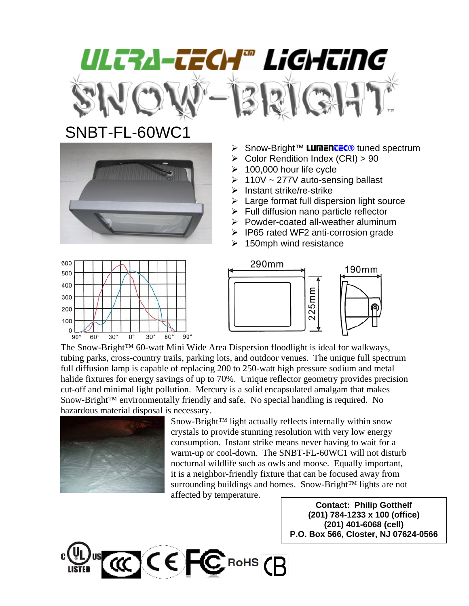## ULTRA-TECH® LiGHTiNG

## SNBT-FL-60WC1



- > Snow-Bright™ LUMENTEC<sup>®</sup> tuned spectrum
- $\triangleright$  Color Rendition Index (CRI) > 90
- $\geq 100,000$  hour life cycle
- $\geq 110V \sim 277V$  auto-sensing ballast
- $\triangleright$  Instant strike/re-strike
- $\triangleright$  Large format full dispersion light source
- $\triangleright$  Full diffusion nano particle reflector
- $\triangleright$  Powder-coated all-weather aluminum
- ¾ IP65 rated WF2 anti-corrosion grade
- $\geq$  150mph wind resistance





The Snow-Bright™ 60-watt Mini Wide Area Dispersion floodlight is ideal for walkways, tubing parks, cross-country trails, parking lots, and outdoor venues. The unique full spectrum full diffusion lamp is capable of replacing 200 to 250-watt high pressure sodium and metal halide fixtures for energy savings of up to 70%. Unique reflector geometry provides precision cut-off and minimal light pollution. Mercury is a solid encapsulated amalgam that makes Snow-Bright™ environmentally friendly and safe. No special handling is required. No hazardous material disposal is necessary.



Snow-Bright™ light actually reflects internally within snow crystals to provide stunning resolution with very low energy consumption. Instant strike means never having to wait for a warm-up or cool-down. The SNBT-FL-60WC1 will not disturb nocturnal wildlife such as owls and moose. Equally important, it is a neighbor-friendly fixture that can be focused away from surrounding buildings and homes. Snow-Bright™ lights are not affected by temperature.

**Contact: Philip Gotthelf (201) 784-1233 x 100 (office) (201) 401-6068 (cell) P.O. Box 566, Closter, NJ 07624-0566**